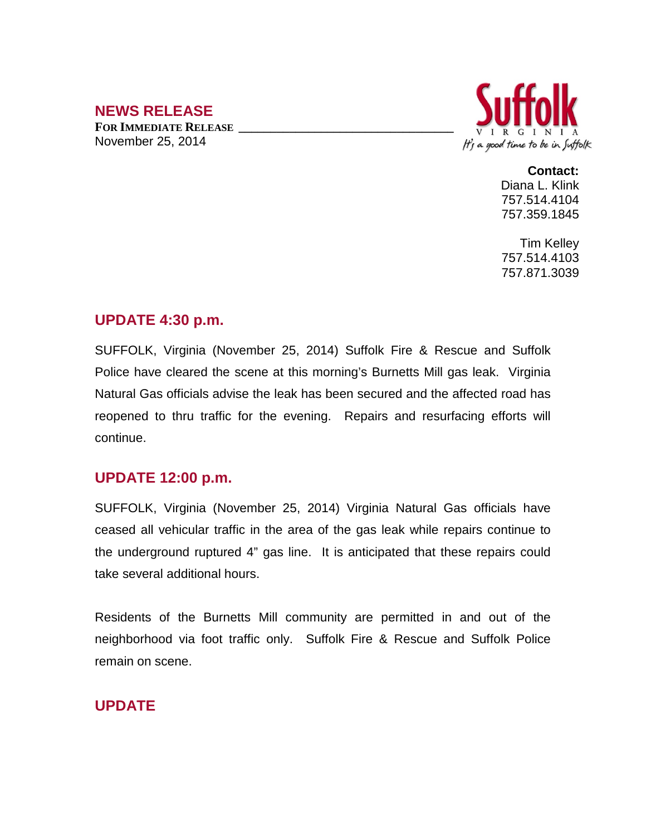# **NEWS RELEASE**

**FOR IMMEDIATE RELEASE \_\_\_\_\_\_\_\_\_\_\_\_\_\_\_\_\_\_\_\_\_\_\_\_\_\_\_\_\_\_\_\_\_\_** November 25, 2014



**Contact:**

Diana L. Klink 757.514.4104 757.359.1845

Tim Kelley 757.514.4103 757.871.3039

### **UPDATE 4:30 p.m.**

SUFFOLK, Virginia (November 25, 2014) Suffolk Fire & Rescue and Suffolk Police have cleared the scene at this morning's Burnetts Mill gas leak. Virginia Natural Gas officials advise the leak has been secured and the affected road has reopened to thru traffic for the evening. Repairs and resurfacing efforts will continue.

#### **UPDATE 12:00 p.m.**

SUFFOLK, Virginia (November 25, 2014) Virginia Natural Gas officials have ceased all vehicular traffic in the area of the gas leak while repairs continue to the underground ruptured 4" gas line. It is anticipated that these repairs could take several additional hours.

Residents of the Burnetts Mill community are permitted in and out of the neighborhood via foot traffic only. Suffolk Fire & Rescue and Suffolk Police remain on scene.

## **UPDATE**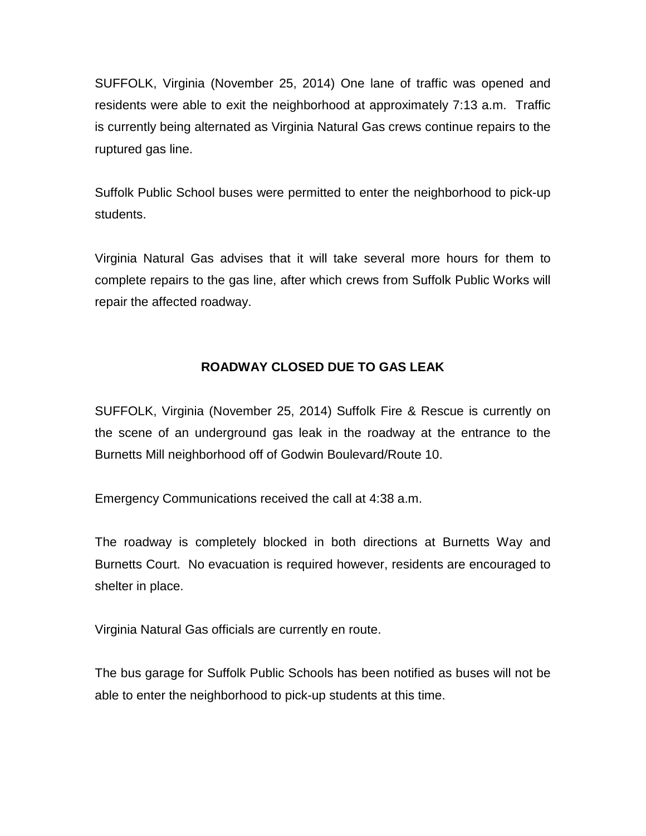SUFFOLK, Virginia (November 25, 2014) One lane of traffic was opened and residents were able to exit the neighborhood at approximately 7:13 a.m. Traffic is currently being alternated as Virginia Natural Gas crews continue repairs to the ruptured gas line.

Suffolk Public School buses were permitted to enter the neighborhood to pick-up students.

Virginia Natural Gas advises that it will take several more hours for them to complete repairs to the gas line, after which crews from Suffolk Public Works will repair the affected roadway.

#### **ROADWAY CLOSED DUE TO GAS LEAK**

SUFFOLK, Virginia (November 25, 2014) Suffolk Fire & Rescue is currently on the scene of an underground gas leak in the roadway at the entrance to the Burnetts Mill neighborhood off of Godwin Boulevard/Route 10.

Emergency Communications received the call at 4:38 a.m.

The roadway is completely blocked in both directions at Burnetts Way and Burnetts Court. No evacuation is required however, residents are encouraged to shelter in place.

Virginia Natural Gas officials are currently en route.

The bus garage for Suffolk Public Schools has been notified as buses will not be able to enter the neighborhood to pick-up students at this time.